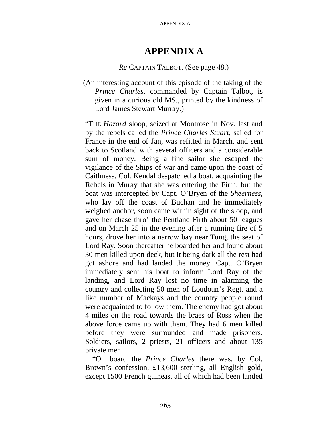## **APPENDIX A**

## *Re* CAPTAIN TALBOT. (See page 48.)

(An interesting account of this episode of the taking of the *Prince Charles,* commanded by Captain Talbot, is given in a curious old MS., printed by the kindness of Lord James Stewart Murray.)

"THE *Hazard* sloop, seized at Montrose in Nov. last and by the rebels called the *Prince Charles Stuart,* sailed for France in the end of Jan, was refitted in March, and sent back to Scotland with several officers and a considerable sum of money. Being a fine sailor she escaped the vigilance of the Ships of war and came upon the coast of Caithness. Col. Kendal despatched a boat, acquainting the Rebels in Muray that she was entering the Firth, but the boat was intercepted by Capt. O'Bryen of the *Sheerness,*  who lay off the coast of Buchan and he immediately weighed anchor, soon came within sight of the sloop, and gave her chase thro' the Pentland Firth about 50 leagues and on March 25 in the evening after a running fire of 5 hours, drove her into a narrow bay near Tung, the seat of Lord Ray. Soon thereafter he boarded her and found about 30 men killed upon deck, but it being dark all the rest had got ashore and had landed the money. Capt. O'Bryen immediately sent his boat to inform Lord Ray of the landing, and Lord Ray lost no time in alarming the country and collecting 50 men of Loudoun's Regt. and a like number of Mackays and the country people round were acquainted to follow them. The enemy had got about 4 miles on the road towards the braes of Ross when the above force came up with them. They had 6 men killed before they were surrounded and made prisoners. Soldiers, sailors, 2 priests, 21 officers and about 135 private men.

"On board the *Prince Charles* there was, by Col. Brown's confession, £13,600 sterling, all English gold, except 1500 French guineas, all of which had been landed